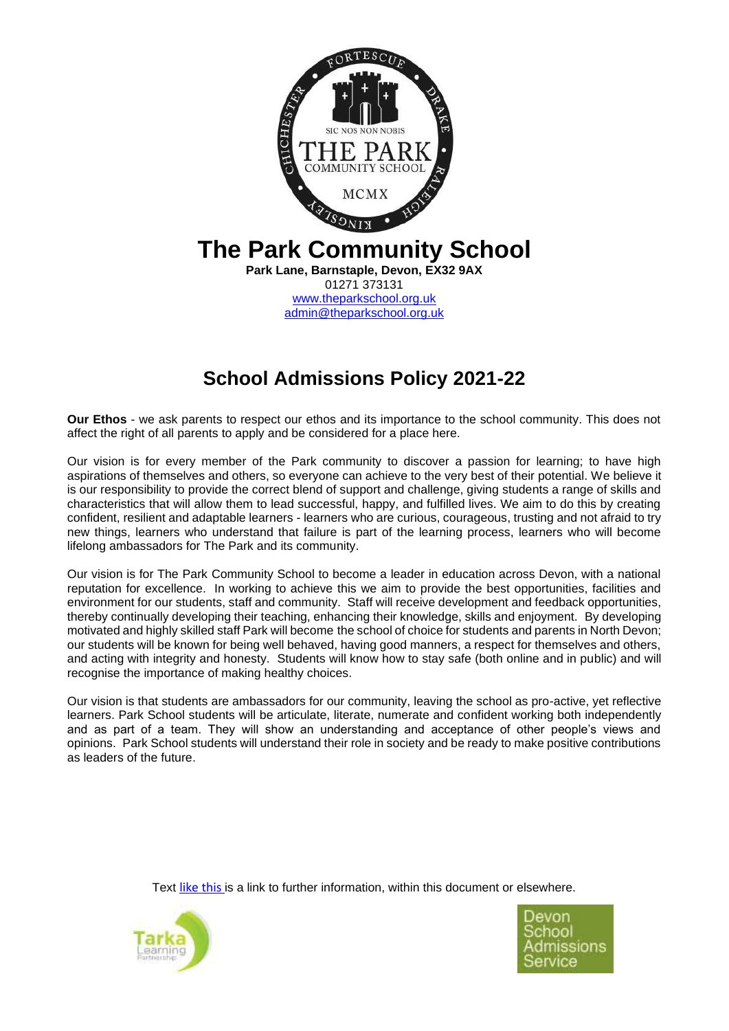

# **School Admissions Policy 2021-22**

**Our Ethos** - we ask parents to respect our ethos and its importance to the school community. This does not affect the right of all parents to apply and be considered for a place here.

Our vision is for every member of the Park community to discover a passion for learning; to have high aspirations of themselves and others, so everyone can achieve to the very best of their potential. We believe it is our responsibility to provide the correct blend of support and challenge, giving students a range of skills and characteristics that will allow them to lead successful, happy, and fulfilled lives. We aim to do this by creating confident, resilient and adaptable learners - learners who are curious, courageous, trusting and not afraid to try new things, learners who understand that failure is part of the learning process, learners who will become lifelong ambassadors for The Park and its community.

Our vision is for The Park Community School to become a leader in education across Devon, with a national reputation for excellence. In working to achieve this we aim to provide the best opportunities, facilities and environment for our students, staff and community. Staff will receive development and feedback opportunities, thereby continually developing their teaching, enhancing their knowledge, skills and enjoyment. By developing motivated and highly skilled staff Park will become the school of choice for students and parents in North Devon; our students will be known for being well behaved, having good manners, a respect for themselves and others, and acting with integrity and honesty. Students will know how to stay safe (both online and in public) and will recognise the importance of making healthy choices.

Our vision is that students are ambassadors for our community, leaving the school as pro-active, yet reflective learners. Park School students will be articulate, literate, numerate and confident working both independently and as part of a team. They will show an understanding and acceptance of other people's views and opinions. Park School students will understand their role in society and be ready to make positive contributions as leaders of the future.

Text like this is a link to further information, within this document or elsewhere.



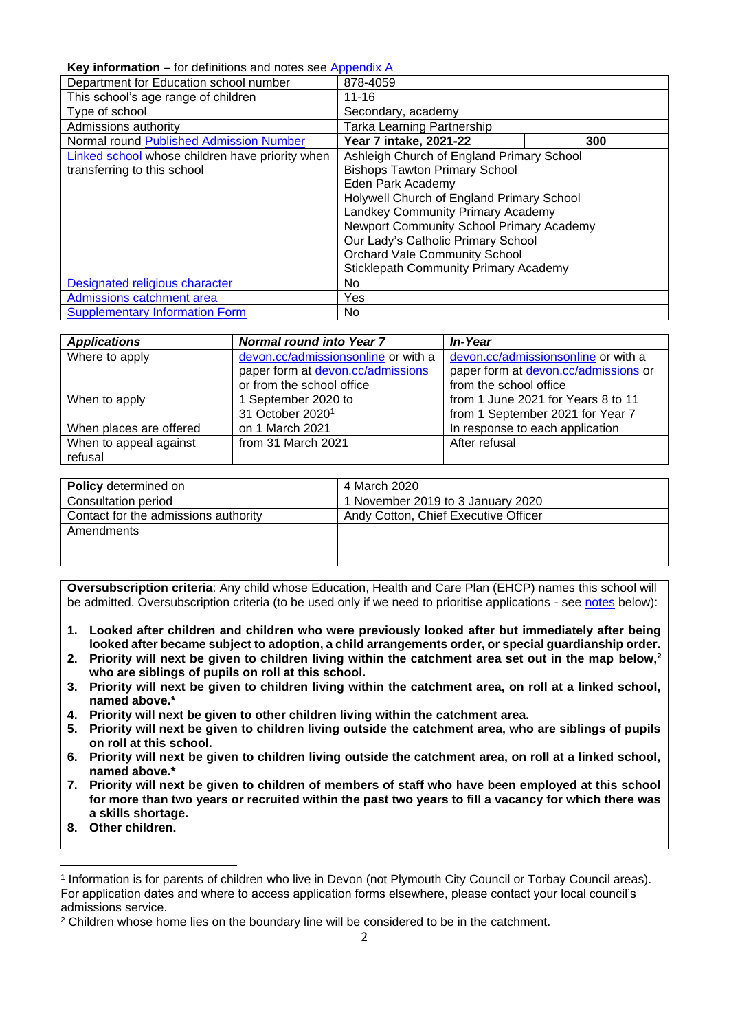## <span id="page-1-0"></span>**Key information** – for definitions and notes see [Appendix A](#page-5-0)

| $R_{\rm UV}$ intermation – for generations and notes see Appendix A |                                              |     |
|---------------------------------------------------------------------|----------------------------------------------|-----|
| Department for Education school number                              | 878-4059                                     |     |
| This school's age range of children                                 | $11 - 16$                                    |     |
| Type of school                                                      | Secondary, academy                           |     |
| Admissions authority                                                | Tarka Learning Partnership                   |     |
| Normal round Published Admission Number                             | Year 7 intake, 2021-22                       | 300 |
| Linked school whose children have priority when                     | Ashleigh Church of England Primary School    |     |
| transferring to this school                                         | <b>Bishops Tawton Primary School</b>         |     |
|                                                                     | Eden Park Academy                            |     |
|                                                                     | Holywell Church of England Primary School    |     |
|                                                                     | Landkey Community Primary Academy            |     |
|                                                                     | Newport Community School Primary Academy     |     |
|                                                                     | Our Lady's Catholic Primary School           |     |
|                                                                     | <b>Orchard Vale Community School</b>         |     |
|                                                                     | <b>Sticklepath Community Primary Academy</b> |     |
| Designated religious character                                      | No.                                          |     |
| Admissions catchment area                                           | Yes                                          |     |
| <b>Supplementary Information Form</b>                               | No.                                          |     |

| <b>Applications</b>     | <b>Normal round into Year 7</b>     | <b>In-Year</b>                       |
|-------------------------|-------------------------------------|--------------------------------------|
| Where to apply          | devon.cc/admissionsonline or with a | devon.cc/admissionsonline or with a  |
|                         | paper form at devon.cc/admissions   | paper form at devon.cc/admissions or |
|                         | or from the school office           | from the school office               |
| When to apply           | 1 September 2020 to                 | from 1 June 2021 for Years 8 to 11   |
|                         | 31 October 2020 <sup>1</sup>        | from 1 September 2021 for Year 7     |
| When places are offered | on 1 March 2021                     | In response to each application      |
| When to appeal against  | from 31 March 2021                  | After refusal                        |
| refusal                 |                                     |                                      |

| <b>Policy</b> determined on          | 4 March 2020                         |
|--------------------------------------|--------------------------------------|
| Consultation period                  | 1 November 2019 to 3 January 2020    |
| Contact for the admissions authority | Andy Cotton, Chief Executive Officer |
| Amendments                           |                                      |
|                                      |                                      |
|                                      |                                      |

**Oversubscription criteria**: Any child whose Education, Health and Care Plan (EHCP) names this school will be admitted. Oversubscription criteria (to be used only if we need to prioritise applications - see [notes](#page-9-1) below):

- **1. Looked after children and children who were previously looked after but immediately after being looked after became subject to adoption, a child arrangements order, or special guardianship order.**
- **2. Priority will next be given to children living within the catchment area set out in the map below,<sup>2</sup> who are siblings of pupils on roll at this school.**
- **3. Priority will next be given to children living within the catchment area, on roll at a linked school, named above.\***
- **4. Priority will next be given to other children living within the catchment area.**
- **5. Priority will next be given to children living outside the catchment area, who are siblings of pupils on roll at this school.**
- **6. Priority will next be given to children living outside the catchment area, on roll at a linked school, named above.\***
- **7. Priority will next be given to children of members of staff who have been employed at this school for more than two years or recruited within the past two years to fill a vacancy for which there was a skills shortage.**
- **8. Other children.**

<sup>1</sup> Information is for parents of children who live in Devon (not Plymouth City Council or Torbay Council areas). For application dates and where to access application forms elsewhere, please contact your local council's admissions service.

<sup>&</sup>lt;sup>2</sup> Children whose home lies on the boundary line will be considered to be in the catchment.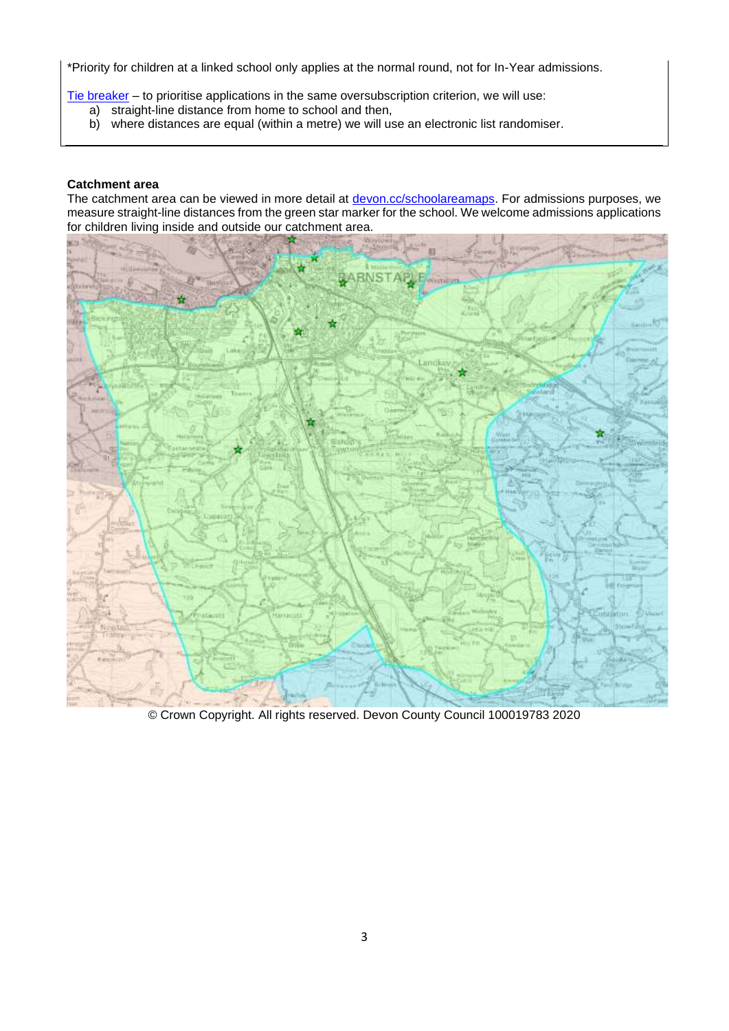\*Priority for children at a linked school only applies at the normal round, not for In-Year admissions.

[Tie breaker](file://///Ds.devon.gov.uk/docs/Exeter,%20County%20Hall/EALData/Shared/Admissions%20files%20for%20website/2021%20files/2021%20Oreston%20admissions%20policy.docx%23tiebreaker) – to prioritise applications in the same oversubscription criterion, we will use:

- a) straight-line distance from home to school and then,
- b) where distances are equal (within a metre) we will use an electronic list randomiser.

## **Catchment area**

The catchment area can be viewed in more detail at **devon.cc/schoolareamaps**. For admissions purposes, we measure straight-line distances from the green star marker for the school. We welcome admissions applications for children living inside and outside our catchment area.



© Crown Copyright. All rights reserved. Devon County Council 100019783 2020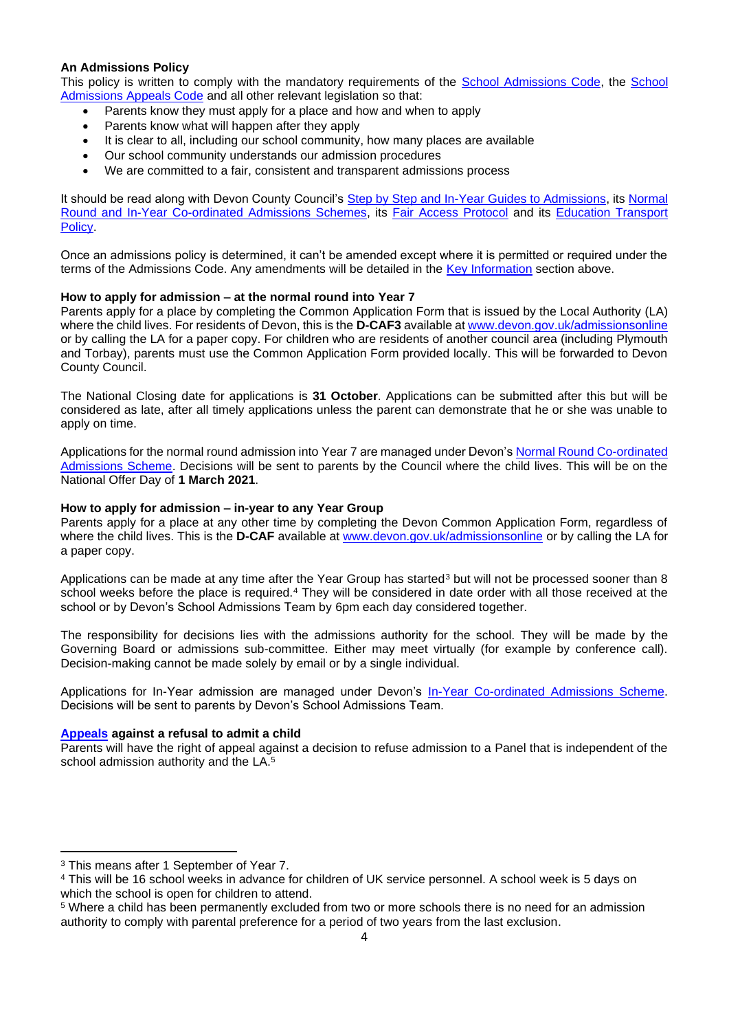## **An Admissions Policy**

This policy is written to comply with the mandatory requirements of the [School Admissions Code,](https://www.gov.uk/government/publications/school-admissions-code--2) the [School](https://www.gov.uk/government/publications/school-admissions-appeals-code)  [Admissions Appeals Code](https://www.gov.uk/government/publications/school-admissions-appeals-code) and all other relevant legislation so that:

- Parents know they must apply for a place and how and when to apply
- Parents know what will happen after they apply
- It is clear to all, including our school community, how many places are available
- Our school community understands our admission procedures
- We are committed to a fair, consistent and transparent admissions process

It should be read along with Devon County Council's [Step by Step and In-Year Guides to Admissions,](http://devon.cc/prospectus) its Normal [Round and In-Year Co-ordinated Admissions Schemes,](http://devon.cc/lapolicies) its [Fair Access Protocol](http://devon.cc/lapolicies) and its [Education Transport](http://devon.cc/lapolicies)  [Policy.](http://devon.cc/lapolicies) 

Once an admissions policy is determined, it can't be amended except where it is permitted or required under the terms of the Admissions Code. Any amendments will be detailed in the [Key Information](#page-1-0) section above.

#### **How to apply for admission – at the normal round into Year 7**

Parents apply for a place by completing the Common Application Form that is issued by the Local Authority (LA) where the child lives. For residents of Devon, this is the **D-CAF3** available at [www.devon.gov.uk/admissionsonline](http://www.devon.gov.uk/admissionsonline) or by calling the LA for a paper copy. For children who are residents of another council area (including Plymouth and Torbay), parents must use the Common Application Form provided locally. This will be forwarded to Devon County Council.

The National Closing date for applications is **31 October**. Applications can be submitted after this but will be considered as late, after all timely applications unless the parent can demonstrate that he or she was unable to apply on time.

Applications for the normal round admission into Year 7 are managed under Devon's [Normal Round Co-ordinated](http://devon.cc/lapolicies)  [Admissions Scheme.](http://devon.cc/lapolicies) Decisions will be sent to parents by the Council where the child lives. This will be on the National Offer Day of **1 March 2021**.

#### **How to apply for admission – in-year to any Year Group**

Parents apply for a place at any other time by completing the Devon Common Application Form, regardless of where the child lives. This is the **D-CAF** available at [www.devon.gov.uk/admissionsonline](http://www.devon.gov.uk/admissionsonline) or by calling the LA for a paper copy.

Applications can be made at any time after the Year Group has started<sup>3</sup> but will not be processed sooner than 8 school weeks before the place is required.<sup>4</sup> They will be considered in date order with all those received at the school or by Devon's School Admissions Team by 6pm each day considered together.

The responsibility for decisions lies with the admissions authority for the school. They will be made by the Governing Board or admissions sub-committee. Either may meet virtually (for example by conference call). Decision-making cannot be made solely by email or by a single individual.

Applications for In-Year admission are managed under Devon's [In-Year Co-ordinated Admissions Scheme.](http://devon.cc/lapolicies) Decisions will be sent to parents by Devon's School Admissions Team.

#### **[Appeals](#page-5-2) against a refusal to admit a child**

Parents will have the right of appeal against a decision to refuse admission to a Panel that is independent of the school admission authority and the LA. 5

<sup>&</sup>lt;sup>3</sup> This means after 1 September of Year 7.

<sup>4</sup> This will be 16 school weeks in advance for children of UK service personnel. A school week is 5 days on which the school is open for children to attend.

<sup>5</sup> Where a child has been permanently excluded from two or more schools there is no need for an admission authority to comply with parental preference for a period of two years from the last exclusion.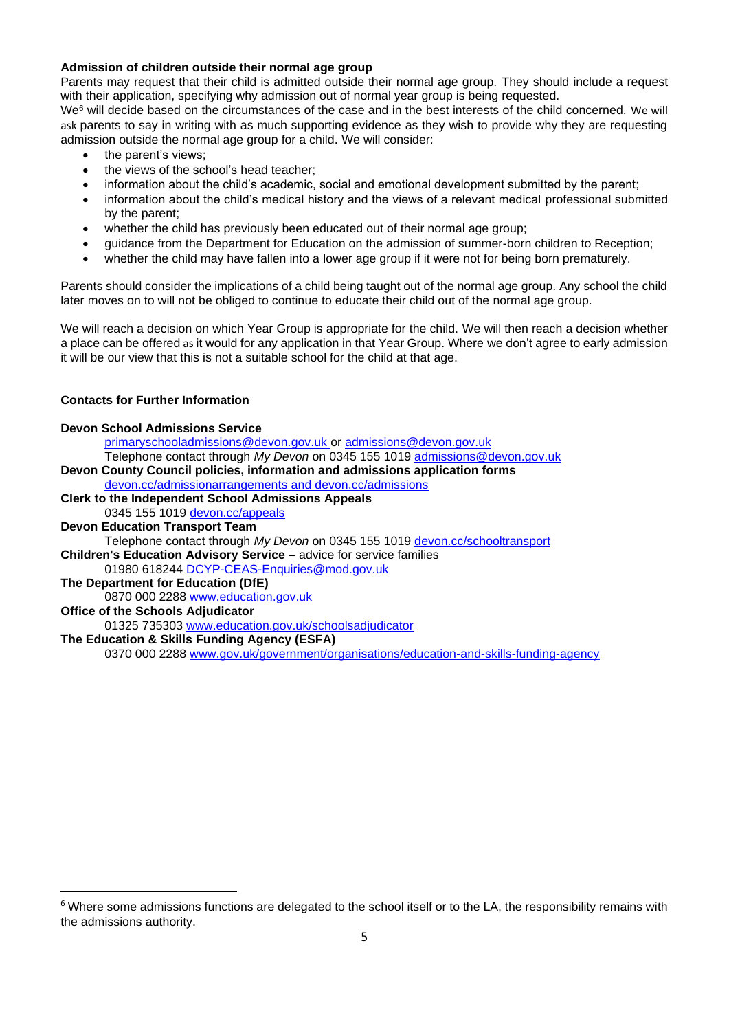## **Admission of children outside their normal age group**

Parents may request that their child is admitted outside their normal age group. They should include a request with their application, specifying why admission out of normal year group is being requested.

We <sup>6</sup> will decide based on the circumstances of the case and in the best interests of the child concerned. We will ask parents to say in writing with as much supporting evidence as they wish to provide why they are requesting admission outside the normal age group for a child. We will consider:

- the parent's views;
- the views of the school's head teacher:
- information about the child's academic, social and emotional development submitted by the parent;
- information about the child's medical history and the views of a relevant medical professional submitted by the parent;
- whether the child has previously been educated out of their normal age group;
- guidance from the Department for Education on the admission of summer-born children to Reception;
- whether the child may have fallen into a lower age group if it were not for being born prematurely.

Parents should consider the implications of a child being taught out of the normal age group. Any school the child later moves on to will not be obliged to continue to educate their child out of the normal age group.

We will reach a decision on which Year Group is appropriate for the child. We will then reach a decision whether a place can be offered as it would for any application in that Year Group. Where we don't agree to early admission it will be our view that this is not a suitable school for the child at that age.

## **Contacts for Further Information**

| <b>Devon School Admissions Service</b>                                                |
|---------------------------------------------------------------------------------------|
| primaryschooladmissions@devon.gov.uk or admissions@devon.gov.uk                       |
| Telephone contact through My Devon on 0345 155 1019 admissions@devon.gov.uk           |
| Devon County Council policies, information and admissions application forms           |
| devon.cc/admissionarrangements and devon.cc/admissions                                |
| <b>Clerk to the Independent School Admissions Appeals</b>                             |
| 0345 155 1019 devon.cc/appeals                                                        |
| <b>Devon Education Transport Team</b>                                                 |
| Telephone contact through My Devon on 0345 155 1019 devon.cc/schooltransport          |
| <b>Children's Education Advisory Service - advice for service families</b>            |
| 01980 618244 DCYP-CEAS-Enquiries@mod.gov.uk                                           |
| The Department for Education (DfE)                                                    |
| 0870 000 2288 www.education.gov.uk                                                    |
| <b>Office of the Schools Adjudicator</b>                                              |
| 01325 735303 www.education.gov.uk/schoolsadjudicator                                  |
| The Education & Skills Funding Agency (ESFA)                                          |
| 0370 000 2288 www.gov.uk/government/organisations/education-and-skills-funding-agency |

 $6$  Where some admissions functions are delegated to the school itself or to the LA, the responsibility remains with the admissions authority.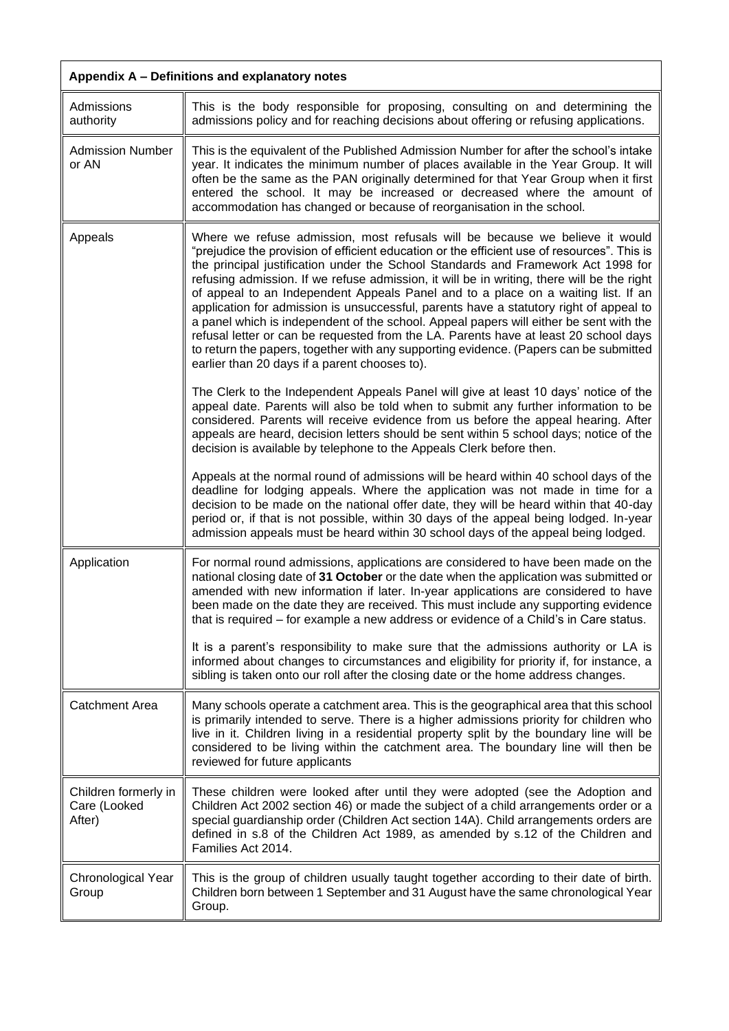<span id="page-5-2"></span><span id="page-5-1"></span><span id="page-5-0"></span>

| Appendix A - Definitions and explanatory notes |                                                                                                                                                                                                                                                                                                                                                                                                                                                                                                                                                                                                                                                                                                                                                                                                                                                                                                                                                                                                                                                          |
|------------------------------------------------|----------------------------------------------------------------------------------------------------------------------------------------------------------------------------------------------------------------------------------------------------------------------------------------------------------------------------------------------------------------------------------------------------------------------------------------------------------------------------------------------------------------------------------------------------------------------------------------------------------------------------------------------------------------------------------------------------------------------------------------------------------------------------------------------------------------------------------------------------------------------------------------------------------------------------------------------------------------------------------------------------------------------------------------------------------|
| Admissions<br>authority                        | This is the body responsible for proposing, consulting on and determining the<br>admissions policy and for reaching decisions about offering or refusing applications.                                                                                                                                                                                                                                                                                                                                                                                                                                                                                                                                                                                                                                                                                                                                                                                                                                                                                   |
| <b>Admission Number</b><br>or AN               | This is the equivalent of the Published Admission Number for after the school's intake<br>year. It indicates the minimum number of places available in the Year Group. It will<br>often be the same as the PAN originally determined for that Year Group when it first<br>entered the school. It may be increased or decreased where the amount of<br>accommodation has changed or because of reorganisation in the school.                                                                                                                                                                                                                                                                                                                                                                                                                                                                                                                                                                                                                              |
| Appeals                                        | Where we refuse admission, most refusals will be because we believe it would<br>"prejudice the provision of efficient education or the efficient use of resources". This is<br>the principal justification under the School Standards and Framework Act 1998 for<br>refusing admission. If we refuse admission, it will be in writing, there will be the right<br>of appeal to an Independent Appeals Panel and to a place on a waiting list. If an<br>application for admission is unsuccessful, parents have a statutory right of appeal to<br>a panel which is independent of the school. Appeal papers will either be sent with the<br>refusal letter or can be requested from the LA. Parents have at least 20 school days<br>to return the papers, together with any supporting evidence. (Papers can be submitted<br>earlier than 20 days if a parent chooses to).<br>The Clerk to the Independent Appeals Panel will give at least 10 days' notice of the<br>appeal date. Parents will also be told when to submit any further information to be |
|                                                | considered. Parents will receive evidence from us before the appeal hearing. After<br>appeals are heard, decision letters should be sent within 5 school days; notice of the<br>decision is available by telephone to the Appeals Clerk before then.                                                                                                                                                                                                                                                                                                                                                                                                                                                                                                                                                                                                                                                                                                                                                                                                     |
|                                                | Appeals at the normal round of admissions will be heard within 40 school days of the<br>deadline for lodging appeals. Where the application was not made in time for a<br>decision to be made on the national offer date, they will be heard within that 40-day<br>period or, if that is not possible, within 30 days of the appeal being lodged. In-year<br>admission appeals must be heard within 30 school days of the appeal being lodged.                                                                                                                                                                                                                                                                                                                                                                                                                                                                                                                                                                                                           |
| Application                                    | For normal round admissions, applications are considered to have been made on the<br>national closing date of 31 October or the date when the application was submitted or<br>amended with new information if later. In-year applications are considered to have<br>been made on the date they are received. This must include any supporting evidence<br>that is required – for example a new address or evidence of a Child's in Care status.                                                                                                                                                                                                                                                                                                                                                                                                                                                                                                                                                                                                          |
|                                                | It is a parent's responsibility to make sure that the admissions authority or LA is<br>informed about changes to circumstances and eligibility for priority if, for instance, a<br>sibling is taken onto our roll after the closing date or the home address changes.                                                                                                                                                                                                                                                                                                                                                                                                                                                                                                                                                                                                                                                                                                                                                                                    |
| <b>Catchment Area</b>                          | Many schools operate a catchment area. This is the geographical area that this school<br>is primarily intended to serve. There is a higher admissions priority for children who<br>live in it. Children living in a residential property split by the boundary line will be<br>considered to be living within the catchment area. The boundary line will then be<br>reviewed for future applicants                                                                                                                                                                                                                                                                                                                                                                                                                                                                                                                                                                                                                                                       |
| Children formerly in<br>Care (Looked<br>After) | These children were looked after until they were adopted (see the Adoption and<br>Children Act 2002 section 46) or made the subject of a child arrangements order or a<br>special guardianship order (Children Act section 14A). Child arrangements orders are<br>defined in s.8 of the Children Act 1989, as amended by s.12 of the Children and<br>Families Act 2014.                                                                                                                                                                                                                                                                                                                                                                                                                                                                                                                                                                                                                                                                                  |
| Chronological Year<br>Group                    | This is the group of children usually taught together according to their date of birth.<br>Children born between 1 September and 31 August have the same chronological Year<br>Group.                                                                                                                                                                                                                                                                                                                                                                                                                                                                                                                                                                                                                                                                                                                                                                                                                                                                    |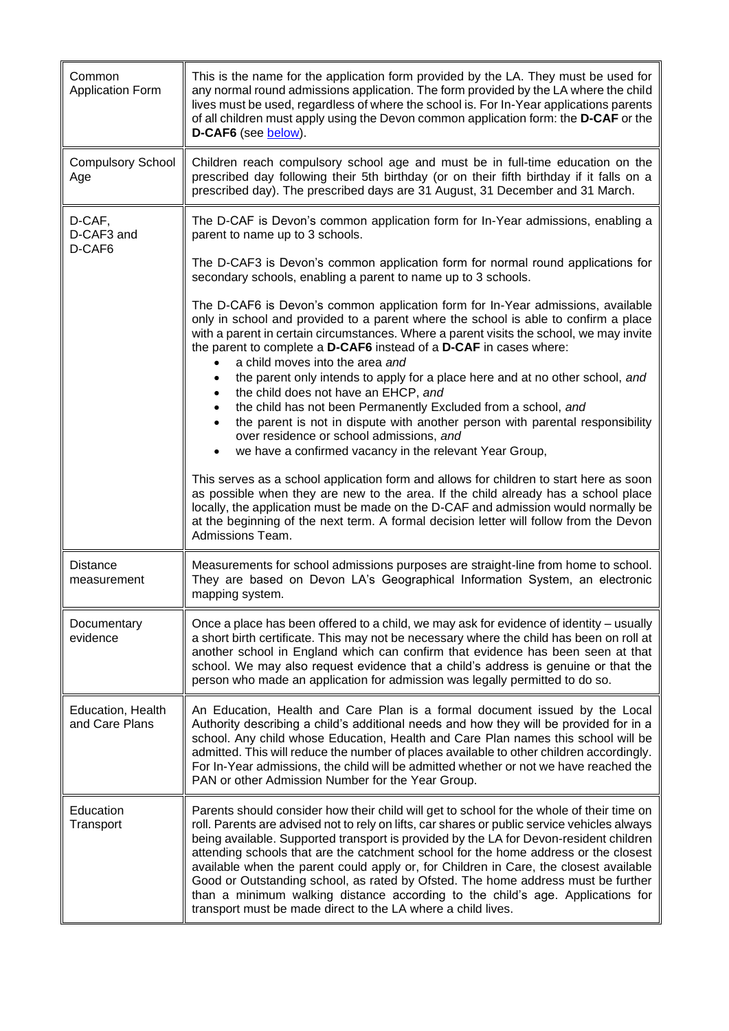<span id="page-6-0"></span>

| Common<br><b>Application Form</b>   | This is the name for the application form provided by the LA. They must be used for<br>any normal round admissions application. The form provided by the LA where the child<br>lives must be used, regardless of where the school is. For In-Year applications parents<br>of all children must apply using the Devon common application form: the D-CAF or the<br>D-CAF6 (see below).                                                                                                                                                                                                                                                                                                                     |
|-------------------------------------|-----------------------------------------------------------------------------------------------------------------------------------------------------------------------------------------------------------------------------------------------------------------------------------------------------------------------------------------------------------------------------------------------------------------------------------------------------------------------------------------------------------------------------------------------------------------------------------------------------------------------------------------------------------------------------------------------------------|
| <b>Compulsory School</b><br>Age     | Children reach compulsory school age and must be in full-time education on the<br>prescribed day following their 5th birthday (or on their fifth birthday if it falls on a<br>prescribed day). The prescribed days are 31 August, 31 December and 31 March.                                                                                                                                                                                                                                                                                                                                                                                                                                               |
| D-CAF,<br>D-CAF3 and<br>D-CAF6      | The D-CAF is Devon's common application form for In-Year admissions, enabling a<br>parent to name up to 3 schools.                                                                                                                                                                                                                                                                                                                                                                                                                                                                                                                                                                                        |
|                                     | The D-CAF3 is Devon's common application form for normal round applications for<br>secondary schools, enabling a parent to name up to 3 schools.                                                                                                                                                                                                                                                                                                                                                                                                                                                                                                                                                          |
|                                     | The D-CAF6 is Devon's common application form for In-Year admissions, available<br>only in school and provided to a parent where the school is able to confirm a place<br>with a parent in certain circumstances. Where a parent visits the school, we may invite<br>the parent to complete a D-CAF6 instead of a D-CAF in cases where:<br>a child moves into the area and                                                                                                                                                                                                                                                                                                                                |
|                                     | the parent only intends to apply for a place here and at no other school, and<br>the child does not have an EHCP, and<br>the child has not been Permanently Excluded from a school, and<br>the parent is not in dispute with another person with parental responsibility                                                                                                                                                                                                                                                                                                                                                                                                                                  |
|                                     | over residence or school admissions, and<br>we have a confirmed vacancy in the relevant Year Group,                                                                                                                                                                                                                                                                                                                                                                                                                                                                                                                                                                                                       |
|                                     | This serves as a school application form and allows for children to start here as soon<br>as possible when they are new to the area. If the child already has a school place<br>locally, the application must be made on the D-CAF and admission would normally be<br>at the beginning of the next term. A formal decision letter will follow from the Devon<br>Admissions Team.                                                                                                                                                                                                                                                                                                                          |
| <b>Distance</b><br>measurement      | Measurements for school admissions purposes are straight-line from home to school.<br>They are based on Devon LA's Geographical Information System, an electronic<br>mapping system.                                                                                                                                                                                                                                                                                                                                                                                                                                                                                                                      |
| Documentary<br>evidence             | Once a place has been offered to a child, we may ask for evidence of identity – usually<br>a short birth certificate. This may not be necessary where the child has been on roll at<br>another school in England which can confirm that evidence has been seen at that<br>school. We may also request evidence that a child's address is genuine or that the<br>person who made an application for admission was legally permitted to do so.                                                                                                                                                                                                                                                              |
| Education, Health<br>and Care Plans | An Education, Health and Care Plan is a formal document issued by the Local<br>Authority describing a child's additional needs and how they will be provided for in a<br>school. Any child whose Education, Health and Care Plan names this school will be<br>admitted. This will reduce the number of places available to other children accordingly.<br>For In-Year admissions, the child will be admitted whether or not we have reached the<br>PAN or other Admission Number for the Year Group.                                                                                                                                                                                                      |
| Education<br>Transport              | Parents should consider how their child will get to school for the whole of their time on<br>roll. Parents are advised not to rely on lifts, car shares or public service vehicles always<br>being available. Supported transport is provided by the LA for Devon-resident children<br>attending schools that are the catchment school for the home address or the closest<br>available when the parent could apply or, for Children in Care, the closest available<br>Good or Outstanding school, as rated by Ofsted. The home address must be further<br>than a minimum walking distance according to the child's age. Applications for<br>transport must be made direct to the LA where a child lives. |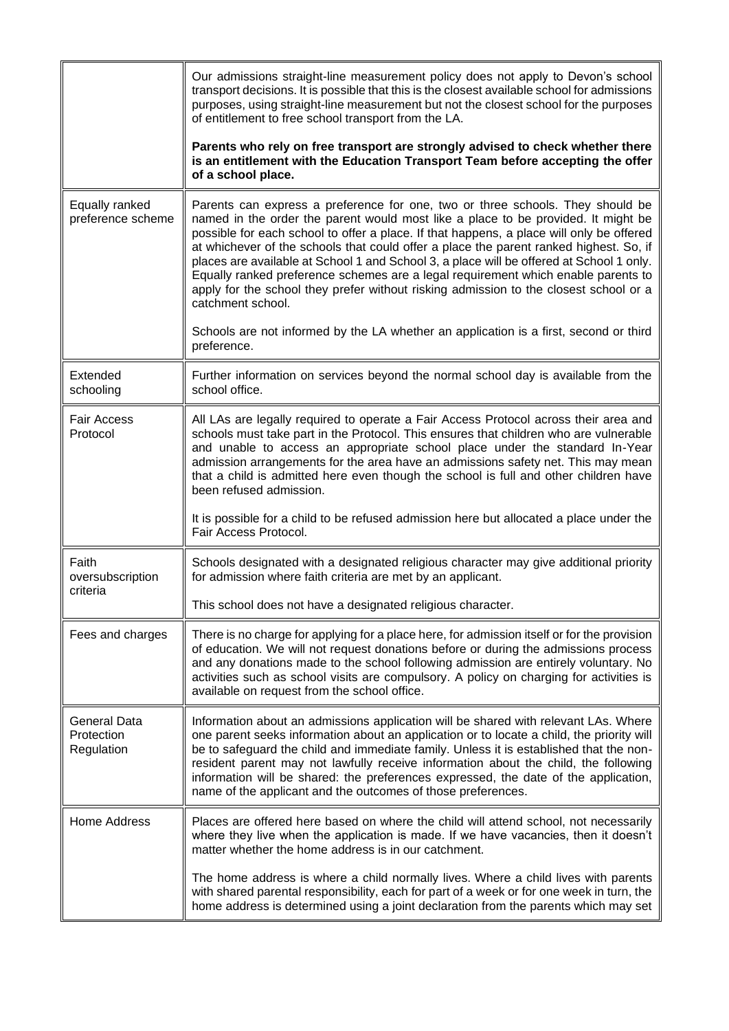<span id="page-7-0"></span>

|                                                 | Our admissions straight-line measurement policy does not apply to Devon's school<br>transport decisions. It is possible that this is the closest available school for admissions<br>purposes, using straight-line measurement but not the closest school for the purposes<br>of entitlement to free school transport from the LA.                                                                                                                                                                                                                                                                                                                        |
|-------------------------------------------------|----------------------------------------------------------------------------------------------------------------------------------------------------------------------------------------------------------------------------------------------------------------------------------------------------------------------------------------------------------------------------------------------------------------------------------------------------------------------------------------------------------------------------------------------------------------------------------------------------------------------------------------------------------|
|                                                 | Parents who rely on free transport are strongly advised to check whether there<br>is an entitlement with the Education Transport Team before accepting the offer<br>of a school place.                                                                                                                                                                                                                                                                                                                                                                                                                                                                   |
| Equally ranked<br>preference scheme             | Parents can express a preference for one, two or three schools. They should be<br>named in the order the parent would most like a place to be provided. It might be<br>possible for each school to offer a place. If that happens, a place will only be offered<br>at whichever of the schools that could offer a place the parent ranked highest. So, if<br>places are available at School 1 and School 3, a place will be offered at School 1 only.<br>Equally ranked preference schemes are a legal requirement which enable parents to<br>apply for the school they prefer without risking admission to the closest school or a<br>catchment school. |
|                                                 | Schools are not informed by the LA whether an application is a first, second or third<br>preference.                                                                                                                                                                                                                                                                                                                                                                                                                                                                                                                                                     |
| Extended<br>schooling                           | Further information on services beyond the normal school day is available from the<br>school office.                                                                                                                                                                                                                                                                                                                                                                                                                                                                                                                                                     |
| <b>Fair Access</b><br>Protocol                  | All LAs are legally required to operate a Fair Access Protocol across their area and<br>schools must take part in the Protocol. This ensures that children who are vulnerable<br>and unable to access an appropriate school place under the standard In-Year<br>admission arrangements for the area have an admissions safety net. This may mean<br>that a child is admitted here even though the school is full and other children have<br>been refused admission.                                                                                                                                                                                      |
|                                                 | It is possible for a child to be refused admission here but allocated a place under the<br>Fair Access Protocol.                                                                                                                                                                                                                                                                                                                                                                                                                                                                                                                                         |
| Faith<br>oversubscription<br>criteria           | Schools designated with a designated religious character may give additional priority<br>for admission where faith criteria are met by an applicant.                                                                                                                                                                                                                                                                                                                                                                                                                                                                                                     |
|                                                 | This school does not have a designated religious character.                                                                                                                                                                                                                                                                                                                                                                                                                                                                                                                                                                                              |
| Fees and charges                                | There is no charge for applying for a place here, for admission itself or for the provision<br>of education. We will not request donations before or during the admissions process<br>and any donations made to the school following admission are entirely voluntary. No<br>activities such as school visits are compulsory. A policy on charging for activities is<br>available on request from the school office.                                                                                                                                                                                                                                     |
| <b>General Data</b><br>Protection<br>Regulation | Information about an admissions application will be shared with relevant LAs. Where<br>one parent seeks information about an application or to locate a child, the priority will<br>be to safeguard the child and immediate family. Unless it is established that the non-<br>resident parent may not lawfully receive information about the child, the following<br>information will be shared: the preferences expressed, the date of the application,<br>name of the applicant and the outcomes of those preferences.                                                                                                                                 |
| <b>Home Address</b>                             | Places are offered here based on where the child will attend school, not necessarily<br>where they live when the application is made. If we have vacancies, then it doesn't<br>matter whether the home address is in our catchment.                                                                                                                                                                                                                                                                                                                                                                                                                      |
|                                                 | The home address is where a child normally lives. Where a child lives with parents<br>with shared parental responsibility, each for part of a week or for one week in turn, the<br>home address is determined using a joint declaration from the parents which may set                                                                                                                                                                                                                                                                                                                                                                                   |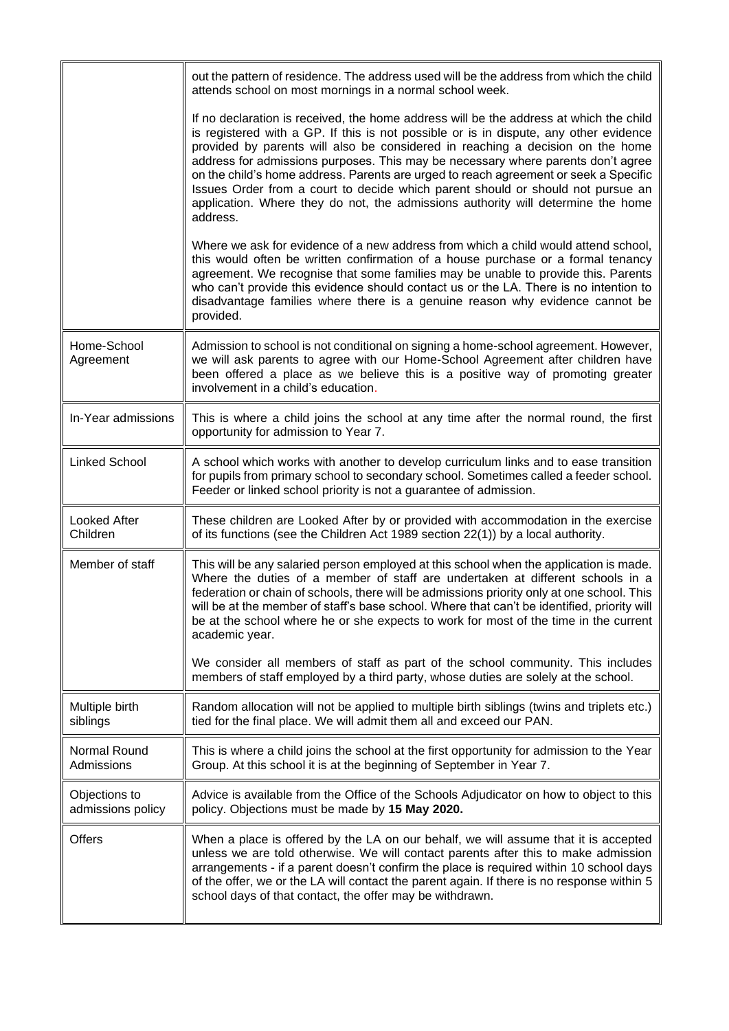<span id="page-8-0"></span>

|                                    | out the pattern of residence. The address used will be the address from which the child<br>attends school on most mornings in a normal school week.                                                                                                                                                                                                                                                                                                                                                                                                                                                                              |
|------------------------------------|----------------------------------------------------------------------------------------------------------------------------------------------------------------------------------------------------------------------------------------------------------------------------------------------------------------------------------------------------------------------------------------------------------------------------------------------------------------------------------------------------------------------------------------------------------------------------------------------------------------------------------|
|                                    | If no declaration is received, the home address will be the address at which the child<br>is registered with a GP. If this is not possible or is in dispute, any other evidence<br>provided by parents will also be considered in reaching a decision on the home<br>address for admissions purposes. This may be necessary where parents don't agree<br>on the child's home address. Parents are urged to reach agreement or seek a Specific<br>Issues Order from a court to decide which parent should or should not pursue an<br>application. Where they do not, the admissions authority will determine the home<br>address. |
|                                    | Where we ask for evidence of a new address from which a child would attend school,<br>this would often be written confirmation of a house purchase or a formal tenancy<br>agreement. We recognise that some families may be unable to provide this. Parents<br>who can't provide this evidence should contact us or the LA. There is no intention to<br>disadvantage families where there is a genuine reason why evidence cannot be<br>provided.                                                                                                                                                                                |
| Home-School<br>Agreement           | Admission to school is not conditional on signing a home-school agreement. However,<br>we will ask parents to agree with our Home-School Agreement after children have<br>been offered a place as we believe this is a positive way of promoting greater<br>involvement in a child's education.                                                                                                                                                                                                                                                                                                                                  |
| In-Year admissions                 | This is where a child joins the school at any time after the normal round, the first<br>opportunity for admission to Year 7.                                                                                                                                                                                                                                                                                                                                                                                                                                                                                                     |
| <b>Linked School</b>               | A school which works with another to develop curriculum links and to ease transition<br>for pupils from primary school to secondary school. Sometimes called a feeder school.<br>Feeder or linked school priority is not a guarantee of admission.                                                                                                                                                                                                                                                                                                                                                                               |
| <b>Looked After</b><br>Children    | These children are Looked After by or provided with accommodation in the exercise<br>of its functions (see the Children Act 1989 section 22(1)) by a local authority.                                                                                                                                                                                                                                                                                                                                                                                                                                                            |
| Member of staff                    | This will be any salaried person employed at this school when the application is made.<br>Where the duties of a member of staff are undertaken at different schools in a<br>federation or chain of schools, there will be admissions priority only at one school. This<br>will be at the member of staff's base school. Where that can't be identified, priority will<br>be at the school where he or she expects to work for most of the time in the current<br>academic year.                                                                                                                                                  |
|                                    | We consider all members of staff as part of the school community. This includes<br>members of staff employed by a third party, whose duties are solely at the school.                                                                                                                                                                                                                                                                                                                                                                                                                                                            |
| Multiple birth<br>siblings         | Random allocation will not be applied to multiple birth siblings (twins and triplets etc.)<br>tied for the final place. We will admit them all and exceed our PAN.                                                                                                                                                                                                                                                                                                                                                                                                                                                               |
| Normal Round<br>Admissions         | This is where a child joins the school at the first opportunity for admission to the Year<br>Group. At this school it is at the beginning of September in Year 7.                                                                                                                                                                                                                                                                                                                                                                                                                                                                |
| Objections to<br>admissions policy | Advice is available from the Office of the Schools Adjudicator on how to object to this<br>policy. Objections must be made by 15 May 2020.                                                                                                                                                                                                                                                                                                                                                                                                                                                                                       |
| <b>Offers</b>                      | When a place is offered by the LA on our behalf, we will assume that it is accepted<br>unless we are told otherwise. We will contact parents after this to make admission<br>arrangements - if a parent doesn't confirm the place is required within 10 school days<br>of the offer, we or the LA will contact the parent again. If there is no response within 5<br>school days of that contact, the offer may be withdrawn.                                                                                                                                                                                                    |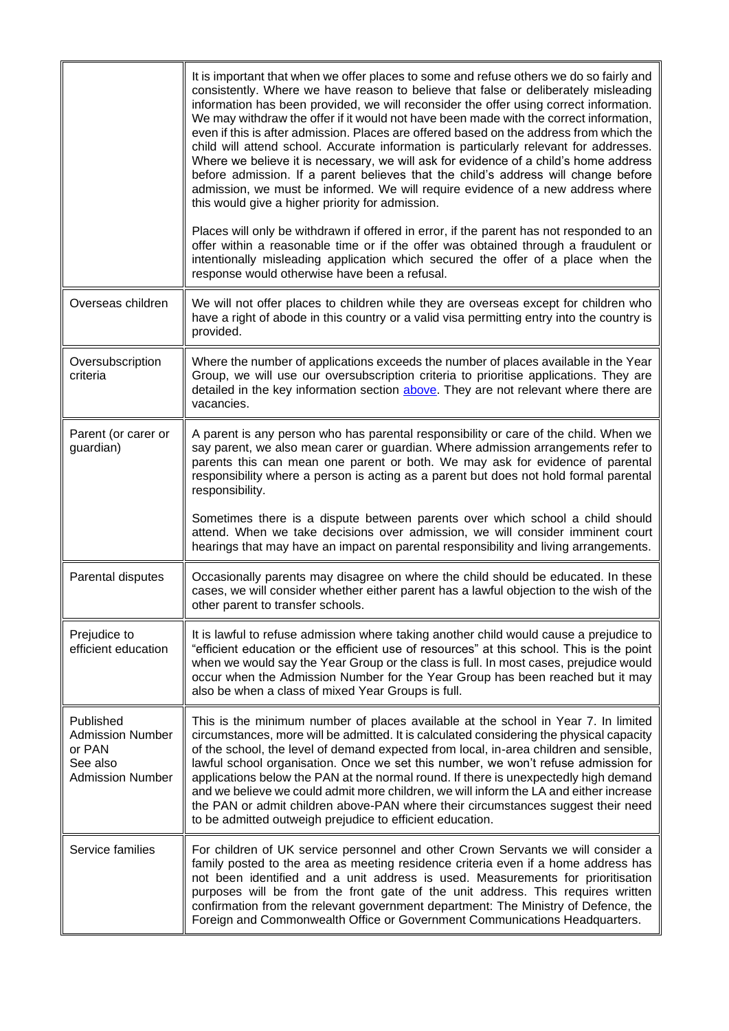<span id="page-9-1"></span><span id="page-9-0"></span>

|                                                                                       | It is important that when we offer places to some and refuse others we do so fairly and<br>consistently. Where we have reason to believe that false or deliberately misleading<br>information has been provided, we will reconsider the offer using correct information.<br>We may withdraw the offer if it would not have been made with the correct information,<br>even if this is after admission. Places are offered based on the address from which the<br>child will attend school. Accurate information is particularly relevant for addresses.<br>Where we believe it is necessary, we will ask for evidence of a child's home address<br>before admission. If a parent believes that the child's address will change before<br>admission, we must be informed. We will require evidence of a new address where<br>this would give a higher priority for admission.<br>Places will only be withdrawn if offered in error, if the parent has not responded to an<br>offer within a reasonable time or if the offer was obtained through a fraudulent or<br>intentionally misleading application which secured the offer of a place when the<br>response would otherwise have been a refusal. |
|---------------------------------------------------------------------------------------|------------------------------------------------------------------------------------------------------------------------------------------------------------------------------------------------------------------------------------------------------------------------------------------------------------------------------------------------------------------------------------------------------------------------------------------------------------------------------------------------------------------------------------------------------------------------------------------------------------------------------------------------------------------------------------------------------------------------------------------------------------------------------------------------------------------------------------------------------------------------------------------------------------------------------------------------------------------------------------------------------------------------------------------------------------------------------------------------------------------------------------------------------------------------------------------------------|
| Overseas children                                                                     | We will not offer places to children while they are overseas except for children who<br>have a right of abode in this country or a valid visa permitting entry into the country is<br>provided.                                                                                                                                                                                                                                                                                                                                                                                                                                                                                                                                                                                                                                                                                                                                                                                                                                                                                                                                                                                                      |
| Oversubscription<br>criteria                                                          | Where the number of applications exceeds the number of places available in the Year<br>Group, we will use our oversubscription criteria to prioritise applications. They are<br>detailed in the key information section above. They are not relevant where there are<br>vacancies.                                                                                                                                                                                                                                                                                                                                                                                                                                                                                                                                                                                                                                                                                                                                                                                                                                                                                                                   |
| Parent (or carer or<br>guardian)                                                      | A parent is any person who has parental responsibility or care of the child. When we<br>say parent, we also mean carer or guardian. Where admission arrangements refer to<br>parents this can mean one parent or both. We may ask for evidence of parental<br>responsibility where a person is acting as a parent but does not hold formal parental<br>responsibility.<br>Sometimes there is a dispute between parents over which school a child should                                                                                                                                                                                                                                                                                                                                                                                                                                                                                                                                                                                                                                                                                                                                              |
|                                                                                       | attend. When we take decisions over admission, we will consider imminent court<br>hearings that may have an impact on parental responsibility and living arrangements.                                                                                                                                                                                                                                                                                                                                                                                                                                                                                                                                                                                                                                                                                                                                                                                                                                                                                                                                                                                                                               |
| Parental disputes                                                                     | Occasionally parents may disagree on where the child should be educated. In these<br>cases, we will consider whether either parent has a lawful objection to the wish of the<br>other parent to transfer schools.                                                                                                                                                                                                                                                                                                                                                                                                                                                                                                                                                                                                                                                                                                                                                                                                                                                                                                                                                                                    |
| Prejudice to<br>efficient education                                                   | It is lawful to refuse admission where taking another child would cause a prejudice to<br>"efficient education or the efficient use of resources" at this school. This is the point<br>when we would say the Year Group or the class is full. In most cases, prejudice would<br>occur when the Admission Number for the Year Group has been reached but it may<br>also be when a class of mixed Year Groups is full.                                                                                                                                                                                                                                                                                                                                                                                                                                                                                                                                                                                                                                                                                                                                                                                 |
| Published<br><b>Admission Number</b><br>or PAN<br>See also<br><b>Admission Number</b> | This is the minimum number of places available at the school in Year 7. In limited<br>circumstances, more will be admitted. It is calculated considering the physical capacity<br>of the school, the level of demand expected from local, in-area children and sensible,<br>lawful school organisation. Once we set this number, we won't refuse admission for<br>applications below the PAN at the normal round. If there is unexpectedly high demand<br>and we believe we could admit more children, we will inform the LA and either increase<br>the PAN or admit children above-PAN where their circumstances suggest their need<br>to be admitted outweigh prejudice to efficient education.                                                                                                                                                                                                                                                                                                                                                                                                                                                                                                    |
| Service families                                                                      | For children of UK service personnel and other Crown Servants we will consider a<br>family posted to the area as meeting residence criteria even if a home address has<br>not been identified and a unit address is used. Measurements for prioritisation<br>purposes will be from the front gate of the unit address. This requires written<br>confirmation from the relevant government department: The Ministry of Defence, the<br>Foreign and Commonwealth Office or Government Communications Headquarters.                                                                                                                                                                                                                                                                                                                                                                                                                                                                                                                                                                                                                                                                                     |